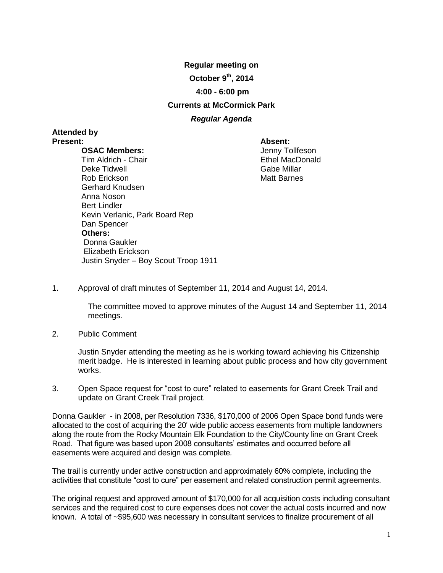**Regular meeting on**

**October 9th , 2014**

## **4:00 - 6:00 pm**

## **Currents at McCormick Park**

# *Regular Agenda*

# **Attended by Present: Absent:**

#### **OSAC Members:**

Jenny Tollfeson Ethel MacDonald Gabe Millar Matt Barnes

- Tim Aldrich Chair Deke Tidwell Rob Erickson Gerhard Knudsen Anna Noson Bert Lindler Kevin Verlanic, Park Board Rep Dan Spencer **Others:** Donna Gaukler Elizabeth Erickson Justin Snyder – Boy Scout Troop 1911
- 1. Approval of draft minutes of September 11, 2014 and August 14, 2014.

The committee moved to approve minutes of the August 14 and September 11, 2014 meetings.

2. Public Comment

Justin Snyder attending the meeting as he is working toward achieving his Citizenship merit badge. He is interested in learning about public process and how city government works.

3. Open Space request for "cost to cure" related to easements for Grant Creek Trail and update on Grant Creek Trail project.

Donna Gaukler - in 2008, per Resolution 7336, \$170,000 of 2006 Open Space bond funds were allocated to the cost of acquiring the 20' wide public access easements from multiple landowners along the route from the Rocky Mountain Elk Foundation to the City/County line on Grant Creek Road. That figure was based upon 2008 consultants' estimates and occurred before all easements were acquired and design was complete*.*

The trail is currently under active construction and approximately 60% complete, including the activities that constitute "cost to cure" per easement and related construction permit agreements.

The original request and approved amount of \$170,000 for all acquisition costs including consultant services and the required cost to cure expenses does not cover the actual costs incurred and now known. A total of ~\$95,600 was necessary in consultant services to finalize procurement of all